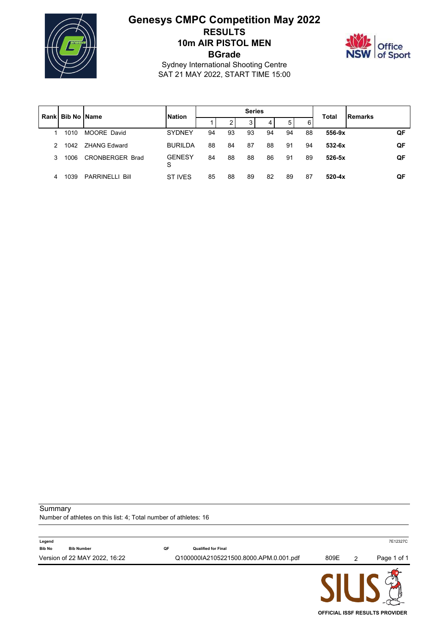

# **Genesys CMPC Competition May 2022 RESULTS 10m AIR PISTOL MEN BGrade**



**OFFICIAL ISSF RESULTS PROVIDER**

Sydney International Shooting Centre SAT 21 MAY 2022, START TIME 15:00

| Rankl |      |                        | <b>Series</b><br><b>Bib No IName</b><br><b>Nation</b> |    |                 |    | Total | <b>IRemarks</b> |    |            |    |
|-------|------|------------------------|-------------------------------------------------------|----|-----------------|----|-------|-----------------|----|------------|----|
|       |      |                        |                                                       |    | ◠<br>$\epsilon$ | 3  | 4     | 5               | 6  |            |    |
|       | 1010 | MOORE David            | <b>SYDNEY</b>                                         | 94 | 93              | 93 | 94    | 94              | 88 | $556-9x$   | QF |
| 2     | 1042 | <b>ZHANG Edward</b>    | <b>BURILDA</b>                                        | 88 | 84              | 87 | 88    | 91              | 94 | $532-6x$   | QF |
| 3     | 1006 | CRONBERGER Brad        | <b>GENESY</b><br>S                                    | 84 | 88              | 88 | 86    | 91              | 89 | $526 - 5x$ | QF |
| 4     | 1039 | <b>PARRINELLI Bill</b> | ST IVES                                               | 85 | 88              | 89 | 82    | 89              | 87 | $520 - 4x$ | QF |

Summary

Number of athletes on this list: 4; Total number of athletes: 16

| Legend        |                               |    |                                        |      |   | 7E12327C    |
|---------------|-------------------------------|----|----------------------------------------|------|---|-------------|
| <b>Bib No</b> | <b>Bib Number</b>             | QF | <b>Qualified for Final</b>             |      |   |             |
|               | Version of 22 MAY 2022, 16:22 |    | Q100000IA2105221500.8000.APM.0.001.pdf | 809E | 2 | Page 1 of 1 |
|               |                               |    |                                        |      |   |             |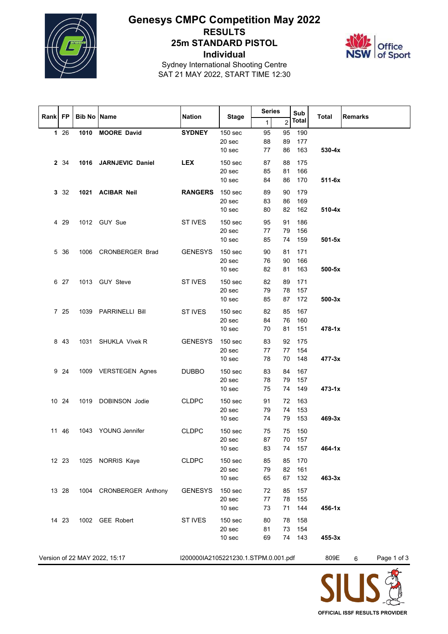

# **Genesys CMPC Competition May 2022 RESULTS 25m STANDARD PISTOL Individual**



Sydney International Shooting Centre SAT 21 MAY 2022, START TIME 12:30

|         |          |                    |                               |                                      |                              | <b>Series</b> |                | Sub          |              |                  |
|---------|----------|--------------------|-------------------------------|--------------------------------------|------------------------------|---------------|----------------|--------------|--------------|------------------|
| Rank FP |          | <b>Bib No Name</b> |                               | <b>Nation</b>                        | <b>Stage</b>                 | $\mathbf{1}$  | $\overline{2}$ | <b>Total</b> | <b>Total</b> | <b>Remarks</b>   |
|         | 126      |                    | 1010 MOORE David              | <b>SYDNEY</b>                        | 150 sec                      | 95            | 95             | 190          |              |                  |
|         |          |                    |                               |                                      | 20 sec                       | 88            | 89             | 177          |              |                  |
|         |          |                    |                               |                                      | 10 sec                       | 77            | 86             | 163          | $530-4x$     |                  |
|         | 2 34     |                    | 1016 JARNJEVIC Daniel         | <b>LEX</b>                           | 150 <sub>sec</sub>           | 87            | 88             | 175          |              |                  |
|         |          |                    |                               |                                      | 20 sec                       | 85            | 81             | 166          |              |                  |
|         |          |                    |                               |                                      | 10 sec                       | 84            | 86             | 170          | $511-6x$     |                  |
|         | $3 \t32$ |                    | 1021 ACIBAR Neil              | <b>RANGERS</b>                       | 150 <sub>sec</sub>           | 89            | 90             | 179          |              |                  |
|         |          |                    |                               |                                      | 20 sec                       | 83            | 86             | 169          |              |                  |
|         |          |                    |                               |                                      | 10 sec                       | 80            | 82             | 162          | $510 - 4x$   |                  |
|         | 4 29     |                    | 1012 GUY Sue                  | ST IVES                              | 150 <sub>sec</sub>           | 95            | 91             | 186          |              |                  |
|         |          |                    |                               |                                      | 20 sec                       | 77            | 79             | 156          |              |                  |
|         |          |                    |                               |                                      | 10 <sub>sec</sub>            | 85            | 74             | 159          | $501-5x$     |                  |
|         | 5 36     |                    | 1006 CRONBERGER Brad          | <b>GENESYS</b>                       | 150 <sub>sec</sub>           | 90            | 81             | 171          |              |                  |
|         |          |                    |                               |                                      | 20 sec                       | 76            | 90             | 166          |              |                  |
|         |          |                    |                               |                                      | 10 sec                       | 82            | 81             | 163          | $500-5x$     |                  |
|         | 6 27     |                    | 1013 GUY Steve                | ST IVES                              | 150 <sub>sec</sub>           | 82            | 89             | 171          |              |                  |
|         |          |                    |                               |                                      | 20 sec                       | 79            | 78             | 157          |              |                  |
|         |          |                    |                               |                                      | 10 sec                       | 85            | 87             | 172          | $500-3x$     |                  |
|         | 7 25     |                    |                               | ST IVES                              | 150 <sub>sec</sub>           | 82            | 85             | 167          |              |                  |
|         |          |                    | 1039 PARRINELLI Bill          |                                      | 20 sec                       | 84            | 76             | 160          |              |                  |
|         |          |                    |                               |                                      | 10 <sub>sec</sub>            | 70            | 81             | 151          | $478 - 1x$   |                  |
|         |          |                    |                               |                                      |                              |               |                |              |              |                  |
|         | 8 4 3    |                    | 1031 SHUKLA Vivek R           | <b>GENESYS</b>                       | 150 <sub>sec</sub><br>20 sec | 83<br>77      | 92<br>77       | 175<br>154   |              |                  |
|         |          |                    |                               |                                      | 10 <sub>sec</sub>            | 78            | 70             | 148          | $477 - 3x$   |                  |
|         |          |                    |                               |                                      |                              |               |                |              |              |                  |
|         | 9 24     |                    | 1009 VERSTEGEN Agnes          | <b>DUBBO</b>                         | 150 sec<br>20 sec            | 83            | 84<br>79       | 167          |              |                  |
|         |          |                    |                               |                                      | 10 sec                       | 78<br>75      | 74             | 157<br>149   | $473 - 1x$   |                  |
|         |          |                    |                               |                                      |                              |               |                |              |              |                  |
|         | 10 24    |                    | 1019 DOBINSON Jodie           | <b>CLDPC</b>                         | 150 <sub>sec</sub>           | 91            | 72             | 163          |              |                  |
|         |          |                    |                               |                                      | 20 sec<br>10 <sub>sec</sub>  | 79            | 74<br>79       | 153<br>153   | 469-3x       |                  |
|         |          |                    |                               |                                      |                              | 74            |                |              |              |                  |
|         | 11 46    |                    | 1043 YOUNG Jennifer           | <b>CLDPC</b>                         | 150 sec                      | 75            | 75             | 150          |              |                  |
|         |          |                    |                               |                                      | 20 sec                       | 87            |                | 70 157       |              |                  |
|         |          |                    |                               |                                      | 10 <sub>sec</sub>            | 83            |                | 74 157       | 464-1x       |                  |
|         | 12 23    |                    | 1025 NORRIS Kaye              | <b>CLDPC</b>                         | 150 <sub>sec</sub>           | 85            | 85             | 170          |              |                  |
|         |          |                    |                               |                                      | 20 sec                       | 79            | 82             | 161          |              |                  |
|         |          |                    |                               |                                      | 10 sec                       | 65            | 67             | 132          | $463 - 3x$   |                  |
|         | 13 28    |                    | 1004 CRONBERGER Anthony       | <b>GENESYS</b>                       | 150 <sub>sec</sub>           | 72            | 85             | 157          |              |                  |
|         |          |                    |                               |                                      | 20 sec                       | 77            | 78             | 155          |              |                  |
|         |          |                    |                               |                                      | 10 <sub>sec</sub>            | 73            | 71             | 144          | $456 - 1x$   |                  |
|         | 14 23    |                    | 1002 GEE Robert               | ST IVES                              | 150 sec                      | 80            | 78             | 158          |              |                  |
|         |          |                    |                               |                                      | 20 sec                       | 81            | 73             | 154          |              |                  |
|         |          |                    |                               |                                      | 10 sec                       | 69            |                | 74 143       | $455 - 3x$   |                  |
|         |          |                    |                               |                                      |                              |               |                |              |              |                  |
|         |          |                    | Version of 22 MAY 2022, 15:17 | I200000IA2105221230.1.STPM.0.001.pdf |                              |               |                |              | 809E         | Page 1 of 3<br>6 |

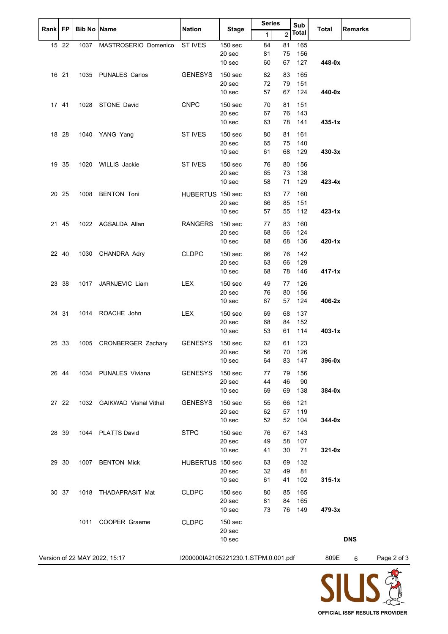| Rank FP |       | <b>Bib No Name</b> |                               | <b>Nation</b>                        | <b>Stage</b>                 | <b>Series</b> |                | Sub          | <b>Total</b> | <b>Remarks</b> |             |
|---------|-------|--------------------|-------------------------------|--------------------------------------|------------------------------|---------------|----------------|--------------|--------------|----------------|-------------|
|         |       |                    |                               |                                      |                              | $\mathbf{1}$  | $\overline{c}$ | <b>Total</b> |              |                |             |
|         | 15 22 | 1037               | MASTROSERIO Domenico          | ST IVES                              | 150 sec                      | 84            | 81             | 165          |              |                |             |
|         |       |                    |                               |                                      | 20 sec                       | 81            | 75             | 156          |              |                |             |
|         |       |                    |                               |                                      | 10 sec                       | 60            | 67             | 127          | 448-0x       |                |             |
|         | 16 21 |                    | 1035 PUNALES Carlos           | <b>GENESYS</b>                       | 150 sec                      | 82            | 83             | 165          |              |                |             |
|         |       |                    |                               |                                      | 20 sec                       | 72            | 79             | 151          |              |                |             |
|         |       |                    |                               |                                      | 10 sec                       | 57            | 67             | 124          | 440-0x       |                |             |
|         |       |                    |                               |                                      |                              |               |                |              |              |                |             |
|         | 17 41 |                    | 1028 STONE David              | <b>CNPC</b>                          | 150 sec                      | 70            | 81             | 151          |              |                |             |
|         |       |                    |                               |                                      | 20 sec                       | 67            | 76             | 143          |              |                |             |
|         |       |                    |                               |                                      | 10 <sub>sec</sub>            | 63            | 78             | 141          | $435 - 1x$   |                |             |
|         | 18 28 |                    | 1040 YANG Yang                | ST IVES                              | 150 <sub>sec</sub>           | 80            | 81             | 161          |              |                |             |
|         |       |                    |                               |                                      | 20 sec                       | 65            | 75             | 140          |              |                |             |
|         |       |                    |                               |                                      | 10 sec                       | 61            | 68             | 129          | 430-3x       |                |             |
|         | 19 35 |                    | 1020 WILLIS Jackie            | ST IVES                              | 150 sec                      | 76            | 80             | 156          |              |                |             |
|         |       |                    |                               |                                      | 20 sec                       | 65            | 73             | 138          |              |                |             |
|         |       |                    |                               |                                      | 10 sec                       | 58            | 71             | 129          | 423-4x       |                |             |
|         | 20 25 |                    | 1008 BENTON Toni              | HUBERTUS 150 sec                     |                              | 83            | 77             | 160          |              |                |             |
|         |       |                    |                               |                                      | 20 sec                       | 66            | 85             | 151          |              |                |             |
|         |       |                    |                               |                                      | 10 sec                       | 57            | 55             | 112          | $423 - 1x$   |                |             |
|         |       |                    |                               |                                      |                              |               |                |              |              |                |             |
|         | 21 45 |                    | 1022 AGSALDA Allan            | <b>RANGERS</b>                       | 150 sec                      | 77            | 83             | 160          |              |                |             |
|         |       |                    |                               |                                      | 20 sec<br>10 sec             | 68<br>68      | 56<br>68       | 124<br>136   | 420-1x       |                |             |
|         |       |                    |                               |                                      |                              |               |                |              |              |                |             |
|         | 22 40 |                    | 1030 CHANDRA Adry             | <b>CLDPC</b>                         | 150 sec                      | 66            | 76             | 142          |              |                |             |
|         |       |                    |                               |                                      | 20 sec                       | 63            | 66             | 129          |              |                |             |
|         |       |                    |                               |                                      | 10 <sub>sec</sub>            | 68            | 78             | 146          | $417 - 1x$   |                |             |
|         | 23 38 |                    | 1017 JARNJEVIC Liam           | <b>LEX</b>                           | 150 <sub>sec</sub>           | 49            | 77             | 126          |              |                |             |
|         |       |                    |                               |                                      | 20 sec                       | 76            | 80             | 156          |              |                |             |
|         |       |                    |                               |                                      | 10 sec                       | 67            | 57             | 124          | 406-2x       |                |             |
|         | 24 31 |                    | 1014 ROACHE John              | <b>LEX</b>                           | 150 <sub>sec</sub>           | 69            | 68             | 137          |              |                |             |
|         |       |                    |                               |                                      | 20 sec                       | 68            | 84             | 152          |              |                |             |
|         |       |                    |                               |                                      | 10 <sub>sec</sub>            | 53            | 61             | 114          | $403 - 1x$   |                |             |
|         | 25 33 |                    | 1005 CRONBERGER Zachary       | <b>GENESYS</b>                       | 150 sec                      | 62            | 61             | 123          |              |                |             |
|         |       |                    |                               |                                      | 20 sec                       | 56            | 70             | 126          |              |                |             |
|         |       |                    |                               |                                      | 10 sec                       | 64            | 83             | 147          | 396-0x       |                |             |
|         |       |                    |                               |                                      |                              |               |                |              |              |                |             |
|         | 26 44 |                    | 1034 PUNALES Viviana          | <b>GENESYS</b>                       | 150 <sub>sec</sub>           | 77            | 79             | 156          |              |                |             |
|         |       |                    |                               |                                      | 20 sec<br>10 <sub>sec</sub>  | 44<br>69      | 46<br>69       | 90<br>138    | 384-0x       |                |             |
|         |       |                    |                               |                                      |                              |               |                |              |              |                |             |
|         | 27 22 |                    | 1032 GAIKWAD Vishal Vithal    | <b>GENESYS</b>                       | 150 <sub>sec</sub>           | 55            | 66             | 121          |              |                |             |
|         |       |                    |                               |                                      | 20 sec                       | 62            | 57             | 119          |              |                |             |
|         |       |                    |                               |                                      | 10 sec                       | 52            | 52             | 104          | 344-0x       |                |             |
|         | 28 39 |                    | 1044 PLATTS David             | <b>STPC</b>                          | 150 <sub>sec</sub>           | 76            | 67             | 143          |              |                |             |
|         |       |                    |                               |                                      | 20 sec                       | 49            | 58             | 107          |              |                |             |
|         |       |                    |                               |                                      | 10 sec                       | 41            | 30             | 71           | $321-0x$     |                |             |
|         | 29 30 | 1007               | <b>BENTON Mick</b>            | HUBERTUS 150 sec                     |                              | 63            | 69             | 132          |              |                |             |
|         |       |                    |                               |                                      | 20 sec                       | 32            | 49             | 81           |              |                |             |
|         |       |                    |                               |                                      | 10 sec                       | 61            | 41             | 102          | $315 - 1x$   |                |             |
|         | 30 37 |                    | 1018 THADAPRASIT Mat          | <b>CLDPC</b>                         | 150 sec                      | 80            | 85             | 165          |              |                |             |
|         |       |                    |                               |                                      | 20 sec                       | 81            | 84             | 165          |              |                |             |
|         |       |                    |                               |                                      | 10 sec                       | 73            | 76             | 149          | 479-3x       |                |             |
|         |       |                    |                               |                                      |                              |               |                |              |              |                |             |
|         |       | 1011               | COOPER Graeme                 | <b>CLDPC</b>                         | 150 <sub>sec</sub><br>20 sec |               |                |              |              |                |             |
|         |       |                    |                               |                                      | 10 sec                       |               |                |              |              | <b>DNS</b>     |             |
|         |       |                    |                               |                                      |                              |               |                |              |              |                |             |
|         |       |                    | Version of 22 MAY 2022, 15:17 | I200000IA2105221230.1.STPM.0.001.pdf |                              |               |                |              | 809E         | 6              | Page 2 of 3 |
|         |       |                    |                               |                                      |                              |               |                |              |              |                |             |
|         |       |                    |                               |                                      |                              |               |                |              |              |                |             |

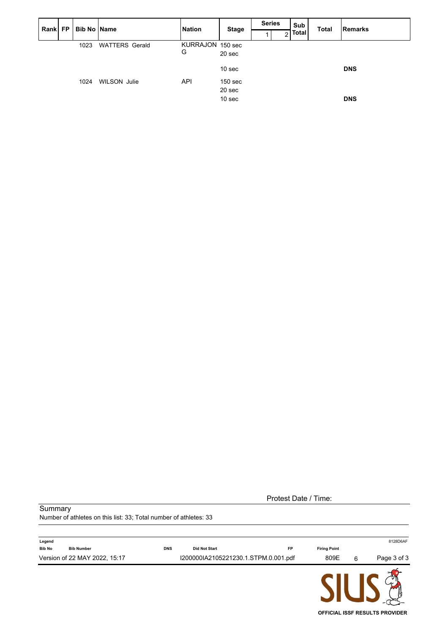| Rank FP |      | <b>Bib No Name</b>    | <b>Nation</b>    | <b>Stage</b>       | <b>Series</b> |   | Sub          | <b>Total</b> | Remarks    |
|---------|------|-----------------------|------------------|--------------------|---------------|---|--------------|--------------|------------|
|         |      |                       |                  |                    |               | ◠ | <b>Total</b> |              |            |
|         | 1023 | <b>WATTERS Gerald</b> | KURRAJON 150 sec |                    |               |   |              |              |            |
|         |      |                       | G                | 20 sec             |               |   |              |              |            |
|         |      |                       |                  | 10 <sub>sec</sub>  |               |   |              |              | <b>DNS</b> |
|         | 1024 | <b>WILSON Julie</b>   | <b>API</b>       | 150 <sub>sec</sub> |               |   |              |              |            |
|         |      |                       |                  | 20 sec             |               |   |              |              |            |
|         |      |                       |                  | 10 <sub>sec</sub>  |               |   |              |              | <b>DNS</b> |

| Protest Date / Time: |  |
|----------------------|--|
|----------------------|--|

#### Summary

Number of athletes on this list: 33; Total number of athletes: 33

| Legend        |                               |            |                                      |    |                     |   | 8128D6AF    |
|---------------|-------------------------------|------------|--------------------------------------|----|---------------------|---|-------------|
| <b>Bib No</b> | <b>Bib Number</b>             | <b>DNS</b> | <b>Did Not Start</b>                 | FP | <b>Firing Point</b> |   |             |
|               | Version of 22 MAY 2022, 15:17 |            | I200000IA2105221230.1.STPM.0.001.pdf |    | 809E                | 6 | Page 3 of 3 |
|               |                               |            |                                      |    |                     |   |             |

**OFFICIAL ISSF RESULTS PROVIDER**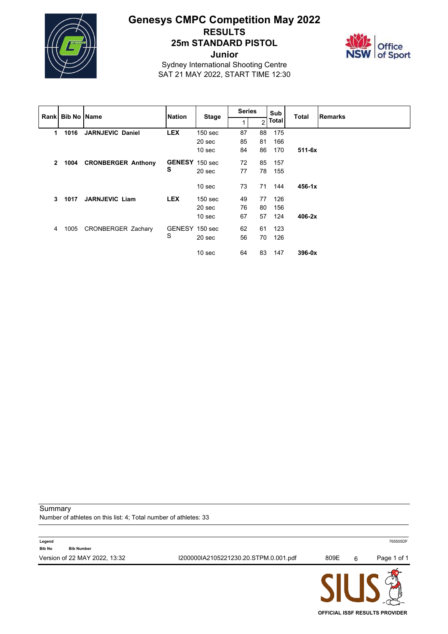

### **Genesys CMPC Competition May 2022 RESULTS 25m STANDARD PISTOL Junior**



Sydney International Shooting Centre SAT 21 MAY 2022, START TIME 12:30

|              |      | <b>Rankl Bib No IName</b> | <b>Nation</b>  |                    | <b>Series</b> |    | Sub   |            | <b>Remarks</b> |
|--------------|------|---------------------------|----------------|--------------------|---------------|----|-------|------------|----------------|
|              |      |                           |                | <b>Stage</b>       |               | 2  | Total | Total      |                |
| 1            | 1016 | <b>JARNJEVIC Daniel</b>   | <b>LEX</b>     | 150 <sub>sec</sub> | 87            | 88 | 175   |            |                |
|              |      |                           |                | 20 sec             | 85            | 81 | 166   |            |                |
|              |      |                           |                | 10 <sub>sec</sub>  | 84            | 86 | 170   | $511 - 6x$ |                |
| $\mathbf{2}$ |      | 1004 CRONBERGER Anthony   | GENESY 150 sec |                    | 72            | 85 | 157   |            |                |
|              |      |                           | s              | 20 sec             | 77            | 78 | 155   |            |                |
|              |      |                           |                | 10 <sub>sec</sub>  | 73            | 71 | 144   | $456 - 1x$ |                |
| 3            | 1017 | <b>JARNJEVIC Liam</b>     | <b>LEX</b>     | 150 <sub>sec</sub> | 49            | 77 | 126   |            |                |
|              |      |                           |                | 20 <sub>sec</sub>  | 76            | 80 | 156   |            |                |
|              |      |                           |                | 10 <sub>sec</sub>  | 67            | 57 | 124   | $406-2x$   |                |
| 4            | 1005 | <b>CRONBERGER Zachary</b> | GENESY 150 sec |                    | 62            | 61 | 123   |            |                |
|              |      |                           | S              | 20 sec             | 56            | 70 | 126   |            |                |
|              |      |                           |                | 10 <sub>sec</sub>  | 64            | 83 | 147   | $396-0x$   |                |

Summary

Number of athletes on this list: 4; Total number of athletes: 33

| Version of 22 MAY 2022, 13:32<br>I200000IA2105221230.20.STPM.0.001.pdf |           |             |
|------------------------------------------------------------------------|-----------|-------------|
|                                                                        | 809E<br>6 | Page 1 of 1 |
| Legend<br><b>Bib No</b><br><b>Bib Number</b>                           |           | 765505DF    |

**OFFICIAL ISSF RESULTS PROVIDER**

**JIC**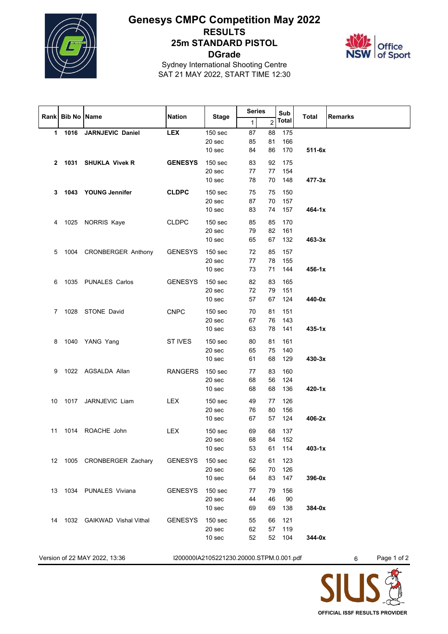

# **Genesys CMPC Competition May 2022 RESULTS 25m STANDARD PISTOL DGrade**



Sydney International Shooting Centre SAT 21 MAY 2022, START TIME 12:30

|    |                  |                               |                |                                                   | <b>Series</b>  |                | Sub                  |              |                  |
|----|------------------|-------------------------------|----------------|---------------------------------------------------|----------------|----------------|----------------------|--------------|------------------|
|    | Rank Bib No Name |                               | <b>Nation</b>  | <b>Stage</b>                                      | 1              | 2              | <b>Total</b>         | <b>Total</b> | <b>Remarks</b>   |
|    | 1 1016           | <b>JARNJEVIC Daniel</b>       | <b>LEX</b>     | 150 sec<br>20 sec<br>10 <sub>sec</sub>            | 87<br>85<br>84 | 88<br>81<br>86 | 175<br>166<br>170    | $511 - 6x$   |                  |
|    |                  | 2 1031 SHUKLA Vivek R         | <b>GENESYS</b> | 150 <sub>sec</sub><br>20 sec<br>10 <sub>sec</sub> | 83<br>77<br>78 | 92<br>77<br>70 | 175<br>154<br>148    | $477 - 3x$   |                  |
| 3  |                  | 1043 YOUNG Jennifer           | <b>CLDPC</b>   | 150 <sub>sec</sub><br>20 sec<br>10 <sub>sec</sub> | 75<br>87<br>83 | 75<br>70<br>74 | 150<br>157<br>157    | 464-1x       |                  |
| 4  |                  | 1025 NORRIS Kaye              | <b>CLDPC</b>   | 150 <sub>sec</sub><br>20 sec<br>10 sec            | 85<br>79<br>65 | 85<br>82<br>67 | 170<br>161<br>132    | 463-3x       |                  |
| 5  |                  | 1004 CRONBERGER Anthony       | <b>GENESYS</b> | 150 <sub>sec</sub><br>20 sec<br>10 <sub>sec</sub> | 72<br>77<br>73 | 85<br>78<br>71 | 157<br>155<br>144    | $456 - 1x$   |                  |
| 6  |                  | 1035 PUNALES Carlos           | <b>GENESYS</b> | 150 <sub>sec</sub><br>20 sec<br>10 <sub>sec</sub> | 82<br>72<br>57 | 83<br>79<br>67 | 165<br>151<br>124    | 440-0x       |                  |
| 7  |                  | 1028 STONE David              | <b>CNPC</b>    | 150 <sub>sec</sub><br>20 sec<br>10 sec            | 70<br>67<br>63 | 81<br>76<br>78 | 151<br>143<br>141    | $435 - 1x$   |                  |
| 8  |                  | 1040 YANG Yang                | <b>ST IVES</b> | 150 <sub>sec</sub><br>20 sec<br>10 <sub>sec</sub> | 80<br>65<br>61 | 81<br>75<br>68 | 161<br>140<br>129    | 430-3x       |                  |
| 9  |                  | 1022 AGSALDA Allan            | <b>RANGERS</b> | 150 <sub>sec</sub><br>20 sec<br>10 sec            | 77<br>68<br>68 | 83<br>56<br>68 | 160<br>124<br>136    | 420-1x       |                  |
| 10 |                  | 1017 JARNJEVIC Liam           | <b>LEX</b>     | 150 <sub>sec</sub><br>20 sec<br>10 <sub>sec</sub> | 49<br>76<br>67 | 77<br>80<br>57 | 126<br>156<br>124    | 406-2x       |                  |
| 11 |                  | 1014 ROACHE John              | <b>LEX</b>     | 150 <sub>sec</sub><br>20 sec<br>10 sec            | 69<br>68<br>53 | 68<br>61       | 137<br>84 152<br>114 | $403 - 1x$   |                  |
| 12 |                  | 1005 CRONBERGER Zachary       | <b>GENESYS</b> | 150 sec<br>20 sec<br>10 sec                       | 62<br>56<br>64 | 61<br>70<br>83 | 123<br>126<br>147    | 396-0x       |                  |
| 13 |                  | 1034 PUNALES Viviana          | <b>GENESYS</b> | 150 sec<br>20 sec<br>10 <sub>sec</sub>            | 77<br>44<br>69 | 79<br>46<br>69 | 156<br>90<br>138     | 384-0x       |                  |
| 14 |                  | 1032 GAIKWAD Vishal Vithal    | <b>GENESYS</b> | 150 <sub>sec</sub><br>20 sec<br>10 sec            | 55<br>62<br>52 | 66<br>57<br>52 | 121<br>119<br>104    | 344-0x       |                  |
|    |                  | Version of 22 MAY 2022, 13:36 |                | I200000IA2105221230.20000.STPM.0.001.pdf          |                |                |                      |              | Page 1 of 2<br>6 |

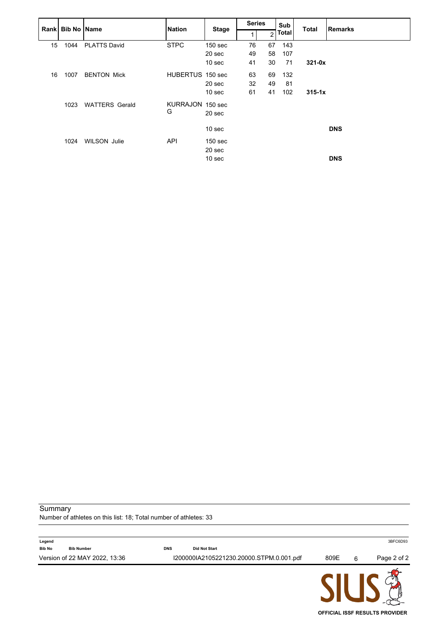|    | Rank Bib No Name |                       | <b>Nation</b>    | <b>Stage</b>       | <b>Series</b> |                | Sub          | <b>Total</b> | <b>Remarks</b> |
|----|------------------|-----------------------|------------------|--------------------|---------------|----------------|--------------|--------------|----------------|
|    |                  |                       |                  |                    |               | $\overline{2}$ | <b>Total</b> |              |                |
| 15 | 1044             | <b>PLATTS David</b>   | <b>STPC</b>      | 150 <sub>sec</sub> | 76            | 67             | 143          |              |                |
|    |                  |                       |                  | 20 sec             | 49            | 58             | 107          |              |                |
|    |                  |                       |                  | 10 <sub>sec</sub>  | 41            | 30             | 71           | $321 - 0x$   |                |
| 16 | 1007             | <b>BENTON Mick</b>    | HUBERTUS 150 sec |                    | 63            | 69             | 132          |              |                |
|    |                  |                       |                  | 20 sec             | 32            | 49             | 81           |              |                |
|    |                  |                       |                  | 10 <sub>sec</sub>  | 61            | 41             | 102          | $315 - 1x$   |                |
|    | 1023             | <b>WATTERS Gerald</b> | KURRAJON 150 sec |                    |               |                |              |              |                |
|    |                  |                       | G                | 20 sec             |               |                |              |              |                |
|    |                  |                       |                  | 10 <sub>sec</sub>  |               |                |              |              | <b>DNS</b>     |
|    | 1024             | <b>WILSON Julie</b>   | <b>API</b>       | 150 <sub>sec</sub> |               |                |              |              |                |
|    |                  |                       |                  | 20 sec             |               |                |              |              |                |
|    |                  |                       |                  | 10 <sub>sec</sub>  |               |                |              |              | <b>DNS</b>     |

Summary

Number of athletes on this list: 18; Total number of athletes: 33

|                                              |            |                                          | CIII I |   | $\mathcal{P}$ m |
|----------------------------------------------|------------|------------------------------------------|--------|---|-----------------|
| Version of 22 MAY 2022, 13:36                |            | I200000IA2105221230.20000.STPM.0.001.pdf | 809E   | 6 | Page 2 of 2     |
| Legend<br><b>Bib No</b><br><b>Bib Number</b> | <b>DNS</b> | <b>Did Not Start</b>                     |        |   | 3BFC6D93        |
|                                              |            |                                          |        |   |                 |

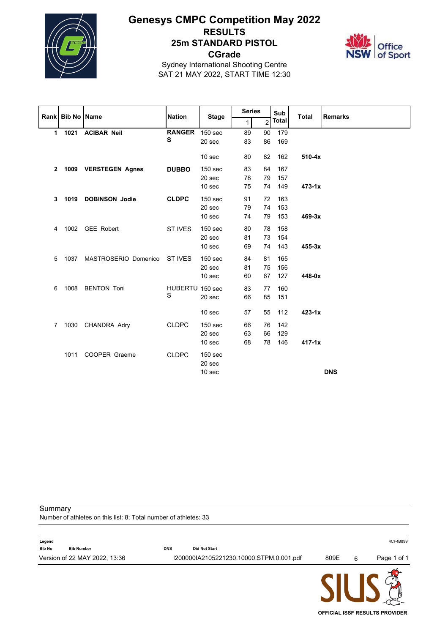

## **Genesys CMPC Competition May 2022 RESULTS 25m STANDARD PISTOL CGrade**



Sydney International Shooting Centre SAT 21 MAY 2022, START TIME 12:30

|                | Rank Bib No Name |                      | <b>Nation</b>   |                    | <b>Series</b> |                | Sub          | <b>Total</b> | <b>Remarks</b> |
|----------------|------------------|----------------------|-----------------|--------------------|---------------|----------------|--------------|--------------|----------------|
|                |                  |                      |                 | <b>Stage</b>       | 1             | $\overline{2}$ | <b>Total</b> |              |                |
| $\mathbf{1}$   |                  | 1021 ACIBAR Neil     | <b>RANGER</b>   | 150 sec            | 89            | 90             | 179          |              |                |
|                |                  |                      | s               | 20 sec             | 83            | 86             | 169          |              |                |
|                |                  |                      |                 | 10 <sub>sec</sub>  | 80            | 82             | 162          | $510-4x$     |                |
| $\mathbf{2}$   |                  | 1009 VERSTEGEN Agnes | <b>DUBBO</b>    | 150 <sub>sec</sub> | 83            | 84             | 167          |              |                |
|                |                  |                      |                 | 20 sec             | 78            | 79             | 157          |              |                |
|                |                  |                      |                 | 10 sec             | 75            | 74             | 149          | $473 - 1x$   |                |
| 3              |                  | 1019 DOBINSON Jodie  | <b>CLDPC</b>    | 150 <sub>sec</sub> | 91            | 72             | 163          |              |                |
|                |                  |                      |                 | 20 sec             | 79            | 74             | 153          |              |                |
|                |                  |                      |                 | 10 <sub>sec</sub>  | 74            | 79             | 153          | 469-3x       |                |
| 4              |                  | 1002 GEE Robert      | ST IVES         | 150 <sub>sec</sub> | 80            | 78             | 158          |              |                |
|                |                  |                      |                 | 20 sec             | 81            | 73             | 154          |              |                |
|                |                  |                      |                 | 10 <sub>sec</sub>  | 69            | 74             | 143          | $455 - 3x$   |                |
| 5              | 1037             | MASTROSERIO Domenico | ST IVES         | 150 <sub>sec</sub> | 84            | 81             | 165          |              |                |
|                |                  |                      |                 | 20 sec             | 81            | 75             | 156          |              |                |
|                |                  |                      |                 | 10 <sub>sec</sub>  | 60            | 67             | 127          | 448-0x       |                |
| 6              | 1008             | <b>BENTON Toni</b>   | HUBERTU 150 sec |                    | 83            | 77             | 160          |              |                |
|                |                  |                      | S               | 20 sec             | 66            | 85             | 151          |              |                |
|                |                  |                      |                 |                    |               |                |              |              |                |
|                |                  |                      |                 | 10 <sub>sec</sub>  | 57            | 55             | 112          | $423 - 1x$   |                |
| $\overline{7}$ | 1030             | CHANDRA Adry         | <b>CLDPC</b>    | <b>150 sec</b>     | 66            | 76             | 142          |              |                |
|                |                  |                      |                 | 20 sec             | 63            | 66             | 129          |              |                |
|                |                  |                      |                 | 10 sec             | 68            | 78             | 146          | $417 - 1x$   |                |
|                | 1011             | <b>COOPER Graeme</b> | <b>CLDPC</b>    | 150 <sub>sec</sub> |               |                |              |              |                |
|                |                  |                      |                 | 20 sec             |               |                |              |              |                |
|                |                  |                      |                 | 10 sec             |               |                |              |              | <b>DNS</b>     |

Summary

Number of athletes on this list: 8; Total number of athletes: 33

| Legend        |                               |            |                                          |      |   | 4CF4B899    |
|---------------|-------------------------------|------------|------------------------------------------|------|---|-------------|
| <b>Bib No</b> | <b>Bib Number</b>             | <b>DNS</b> | <b>Did Not Start</b>                     |      |   |             |
|               | Version of 22 MAY 2022, 13:36 |            | I200000IA2105221230.10000.STPM.0.001.pdf | 809E | 6 | Page 1 of 1 |
|               |                               |            |                                          |      |   |             |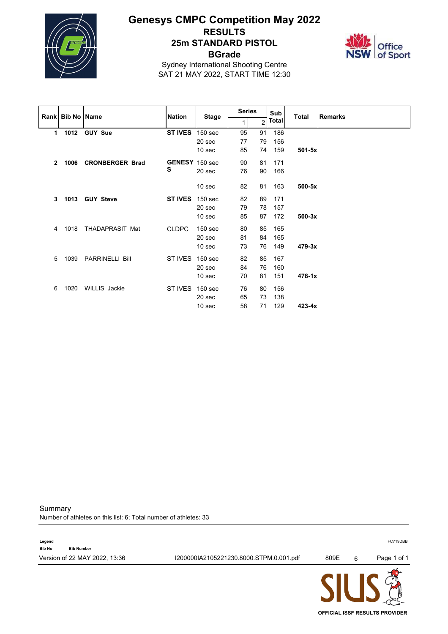

# **Genesys CMPC Competition May 2022 RESULTS 25m STANDARD PISTOL BGrade**



Sydney International Shooting Centre SAT 21 MAY 2022, START TIME 12:30

|              | Rank Bib No Name |                        | <b>Nation</b>  |                    | <b>Series</b> |                | Sub   | Total      | <b>Remarks</b> |
|--------------|------------------|------------------------|----------------|--------------------|---------------|----------------|-------|------------|----------------|
|              |                  |                        |                | <b>Stage</b>       | 1             | $\mathfrak{p}$ | Total |            |                |
| 1            | 1012             | <b>GUY Sue</b>         | <b>ST IVES</b> | 150 <sub>sec</sub> | 95            | 91             | 186   |            |                |
|              |                  |                        |                | 20 sec             | 77            | 79             | 156   |            |                |
|              |                  |                        |                | 10 sec             | 85            | 74             | 159   | $501-5x$   |                |
| $\mathbf{2}$ | 1006             | <b>CRONBERGER Brad</b> | GENESY 150 sec |                    | 90            | 81             | 171   |            |                |
|              |                  |                        | s              | 20 sec             | 76            | 90             | 166   |            |                |
|              |                  |                        |                | 10 <sub>sec</sub>  | 82            | 81             | 163   | $500-5x$   |                |
| 3            |                  | 1013 GUY Steve         | <b>ST IVES</b> | 150 <sub>sec</sub> | 82            | 89             | 171   |            |                |
|              |                  |                        |                | 20 sec             | 79            | 78             | 157   |            |                |
|              |                  |                        |                | 10 <sub>sec</sub>  | 85            | 87             | 172   | $500-3x$   |                |
| 4            | 1018             | THADAPRASIT Mat        | <b>CLDPC</b>   | 150 <sub>sec</sub> | 80            | 85             | 165   |            |                |
|              |                  |                        |                | 20 sec             | 81            | 84             | 165   |            |                |
|              |                  |                        |                | 10 <sub>sec</sub>  | 73            | 76             | 149   | 479-3x     |                |
| 5            | 1039             | PARRINELLI Bill        | ST IVES        | 150 <sub>sec</sub> | 82            | 85             | 167   |            |                |
|              |                  |                        |                | 20 sec             | 84            | 76             | 160   |            |                |
|              |                  |                        |                | 10 <sub>sec</sub>  | 70            | 81             | 151   | $478 - 1x$ |                |
| 6            | 1020             | <b>WILLIS</b> Jackie   | ST IVES        | 150 <sub>sec</sub> | 76            | 80             | 156   |            |                |
|              |                  |                        |                | 20 sec             | 65            | 73             | 138   |            |                |
|              |                  |                        |                | 10 <sub>sec</sub>  | 58            | 71             | 129   | $423 - 4x$ |                |

Summary

Number of athletes on this list: 6; Total number of athletes: 33

| Page 1 of 1 |
|-------------|
|             |
| FC719DBB    |
|             |

JK **OFFICIAL ISSF RESULTS PROVIDER**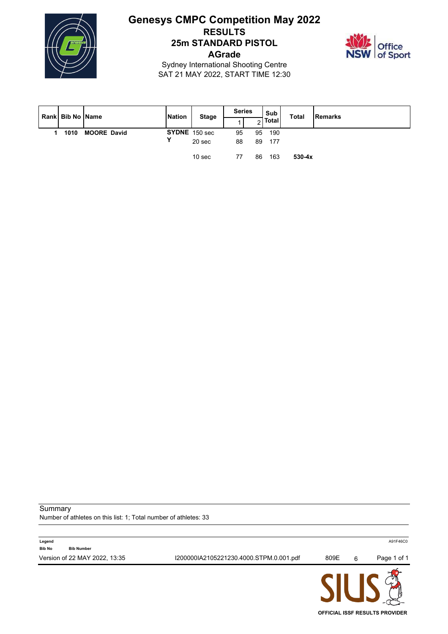

## **Genesys CMPC Competition May 2022 RESULTS 25m STANDARD PISTOL AGrade**



Sydney International Shooting Centre SAT 21 MAY 2022, START TIME 12:30

| Rank Bib No Name |                    | <b>Nation</b> | <b>Stage</b>      | <b>Series</b> |    | Sub   | <b>Total</b> | Remarks |
|------------------|--------------------|---------------|-------------------|---------------|----|-------|--------------|---------|
|                  |                    |               |                   |               | ⌒  | Total |              |         |
| 1010             | <b>MOORE David</b> |               | SYDNE 150 sec     | 95            | 95 | 190   |              |         |
|                  |                    | Υ             | 20 <sub>sec</sub> | 88            | 89 | 177   |              |         |
|                  |                    |               | 10 <sub>sec</sub> | 77            | 86 | 163   | $530-4x$     |         |

**Summary** 

Number of athletes on this list: 1; Total number of athletes: 33

|                                              |                                         | <b>CILIC</b> |   |             |
|----------------------------------------------|-----------------------------------------|--------------|---|-------------|
| Version of 22 MAY 2022, 13:35                | I200000IA2105221230.4000.STPM.0.001.pdf | 809E         | 6 | Page 1 of 1 |
| Legend<br><b>Bib No</b><br><b>Bib Number</b> |                                         |              |   | A91F46C0    |
|                                              |                                         |              |   |             |

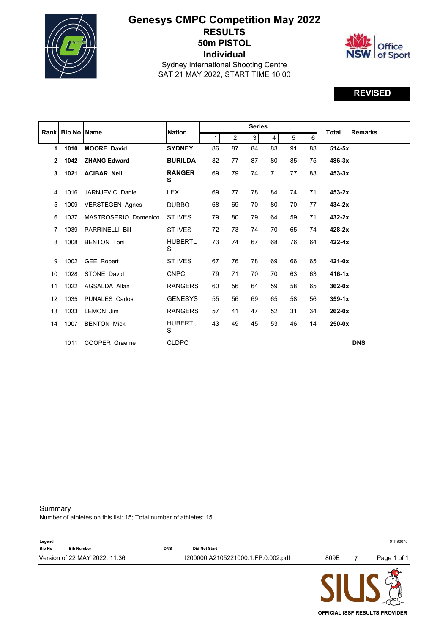

# **Genesys CMPC Competition May 2022 RESULTS 50m PISTOL Individual**



Sydney International Shooting Centre SAT 21 MAY 2022, START TIME 10:00

## **REVISED**

|                | <b>Rank Bib No Name</b> |                        | <b>Nation</b>       |    |                | <b>Series</b> |    |    |    | <b>Total</b> | <b>Remarks</b> |
|----------------|-------------------------|------------------------|---------------------|----|----------------|---------------|----|----|----|--------------|----------------|
|                |                         |                        |                     | 1  | 2 <sup>1</sup> | $\mathbf{3}$  | 4  | 5  | 6  |              |                |
| 1              | 1010                    | <b>MOORE David</b>     | <b>SYDNEY</b>       | 86 | 87             | 84            | 83 | 91 | 83 | $514-5x$     |                |
| $\overline{2}$ | 1042                    | <b>ZHANG Edward</b>    | <b>BURILDA</b>      | 82 | 77             | 87            | 80 | 85 | 75 | 486-3x       |                |
| 3              | 1021                    | <b>ACIBAR Neil</b>     | <b>RANGER</b><br>S  | 69 | 79             | 74            | 71 | 77 | 83 | $453-3x$     |                |
| 4              | 1016                    | JARNJEVIC Daniel       | <b>LEX</b>          | 69 | 77             | 78            | 84 | 74 | 71 | 453-2x       |                |
| 5              | 1009                    | <b>VERSTEGEN Agnes</b> | <b>DUBBO</b>        | 68 | 69             | 70            | 80 | 70 | 77 | $434-2x$     |                |
| 6              | 1037                    | MASTROSERIO Domenico   | <b>ST IVES</b>      | 79 | 80             | 79            | 64 | 59 | 71 | 432-2x       |                |
| 7              | 1039                    | <b>PARRINELLI Bill</b> | ST IVES             | 72 | 73             | 74            | 70 | 65 | 74 | $428-2x$     |                |
| 8              | 1008                    | <b>BENTON Toni</b>     | <b>HUBERTU</b><br>S | 73 | 74             | 67            | 68 | 76 | 64 | $422 - 4x$   |                |
| 9              | 1002                    | <b>GEE Robert</b>      | ST IVES             | 67 | 76             | 78            | 69 | 66 | 65 | $421-0x$     |                |
| 10             | 1028                    | STONE David            | <b>CNPC</b>         | 79 | 71             | 70            | 70 | 63 | 63 | $416-1x$     |                |
| 11             | 1022                    | AGSALDA Allan          | <b>RANGERS</b>      | 60 | 56             | 64            | 59 | 58 | 65 | $362-0x$     |                |
| 12             | 1035                    | <b>PUNALES Carlos</b>  | <b>GENESYS</b>      | 55 | 56             | 69            | 65 | 58 | 56 | $359 - 1x$   |                |
| 13             | 1033                    | <b>LEMON Jim</b>       | <b>RANGERS</b>      | 57 | 41             | 47            | 52 | 31 | 34 | $262-0x$     |                |
| 14             | 1007                    | <b>BENTON Mick</b>     | <b>HUBERTU</b><br>S | 43 | 49             | 45            | 53 | 46 | 14 | $250 - 0x$   |                |
|                | 1011                    | COOPER Graeme          | <b>CLDPC</b>        |    |                |               |    |    |    |              | <b>DNS</b>     |

**Summary** 

 $\overline{a}$ 

Number of athletes on this list: 15; Total number of athletes: 15

|                                              |            |                                    | CII K |             |
|----------------------------------------------|------------|------------------------------------|-------|-------------|
| Version of 22 MAY 2022, 11:36                |            | I200000IA2105221000.1.FP.0.002.pdf | 809E  | Page 1 of 1 |
| Legend<br><b>Bib No</b><br><b>Bib Number</b> | <b>DNS</b> | <b>Did Not Start</b>               |       | 91F98678    |

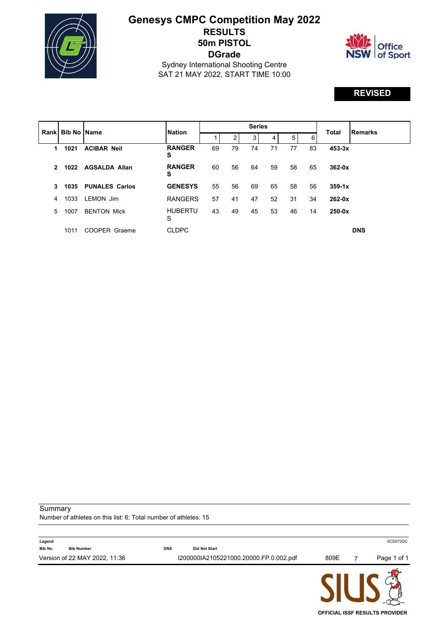

## **Genesys CMPC Competition May 2022 RESULTS 50m PISTOL DGrade**



Sydney International Shooting Centre SAT 21 MAY 2022, START TIME 10:00

## **REVISED**

|               |      | <b>Rankl Bib No IName</b> | <b>Nation</b>       |    |    | <b>Series</b> |    |    | Total | <b>Remarks</b> |            |
|---------------|------|---------------------------|---------------------|----|----|---------------|----|----|-------|----------------|------------|
|               |      |                           |                     |    | 2  | 3             | 4  | 5  | 6     |                |            |
| 1             | 1021 | <b>ACIBAR Neil</b>        | <b>RANGER</b><br>S  | 69 | 79 | 74            | 71 | 77 | 83    | $453-3x$       |            |
| $\mathcal{P}$ | 1022 | <b>AGSALDA Allan</b>      | <b>RANGER</b><br>s  | 60 | 56 | 64            | 59 | 58 | 65    | $362-0x$       |            |
| 3             | 1035 | <b>PUNALES Carlos</b>     | <b>GENESYS</b>      | 55 | 56 | 69            | 65 | 58 | 56    | $359 - 1x$     |            |
| 4             | 1033 | LEMON Jim                 | <b>RANGERS</b>      | 57 | 41 | 47            | 52 | 31 | 34    | $262-0x$       |            |
| 5.            | 1007 | <b>BENTON Mick</b>        | <b>HUBERTU</b><br>S | 43 | 49 | 45            | 53 | 46 | 14    | $250-0x$       |            |
|               | 1011 | COOPER Graeme             | <b>CLDPC</b>        |    |    |               |    |    |       |                | <b>DNS</b> |

Summary

Number of athletes on this list: 6; Total number of athletes: 15

|                         |                               |            |                                        |      | $\sim$      |
|-------------------------|-------------------------------|------------|----------------------------------------|------|-------------|
|                         | Version of 22 MAY 2022, 11:36 |            | I200000IA2105221000.20000.FP.0.002.pdf | 809E | Page 1 of 1 |
| Legend<br><b>Bib No</b> | <b>Bib Number</b>             | <b>DNS</b> | <b>Did Not Start</b>                   |      | 6CD072DC    |

**PICDIC OFFICIAL ISSF RESULTS PROVIDER**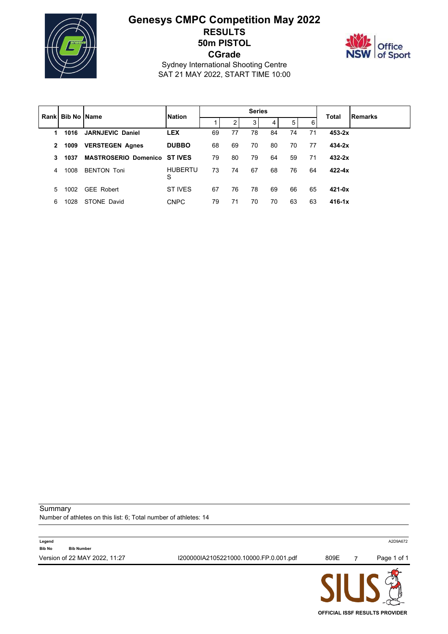

## **Genesys CMPC Competition May 2022 RESULTS 50m PISTOL CGrade**



Sydney International Shooting Centre SAT 21 MAY 2022, START TIME 10:00

|              | <b>Rankl Bib No IName</b> |                                    | <b>Nation</b>       |    |    | <b>Series</b> |    |    |    |            | Remarks |
|--------------|---------------------------|------------------------------------|---------------------|----|----|---------------|----|----|----|------------|---------|
|              |                           |                                    |                     |    | 2  | 3             | 4  | 5  | 6  | Total      |         |
| 1.           | 1016                      | <b>JARNJEVIC Daniel</b>            | <b>LEX</b>          | 69 | 77 | 78            | 84 | 74 | 71 | $453 - 2x$ |         |
| $\mathbf{2}$ | 1009                      | <b>VERSTEGEN Agnes</b>             | <b>DUBBO</b>        | 68 | 69 | 70            | 80 | 70 | 77 | $434 - 2x$ |         |
| 3            | 1037                      | <b>MASTROSERIO Domenico STIVES</b> |                     | 79 | 80 | 79            | 64 | 59 | 71 | $432 - 2x$ |         |
| 4            | 1008                      | <b>BENTON Toni</b>                 | <b>HUBERTU</b><br>S | 73 | 74 | 67            | 68 | 76 | 64 | $422 - 4x$ |         |
| 5.           | 1002                      | <b>GEE Robert</b>                  | ST IVES             | 67 | 76 | 78            | 69 | 66 | 65 | $421 - 0x$ |         |
| 6            | 1028                      | STONE David                        | <b>CNPC</b>         | 79 | 71 | 70            | 70 | 63 | 63 | $416 - 1x$ |         |

Summary

Number of athletes on this list: 6; Total number of athletes: 14

|               |                               |                                        | <b>CILIA</b> |             |
|---------------|-------------------------------|----------------------------------------|--------------|-------------|
|               | Version of 22 MAY 2022, 11:27 | I200000IA2105221000.10000.FP.0.001.pdf | 809E         | Page 1 of 1 |
| <b>Bib No</b> | <b>Bib Number</b>             |                                        |              |             |
| Legend        |                               |                                        |              | A2D9A672    |

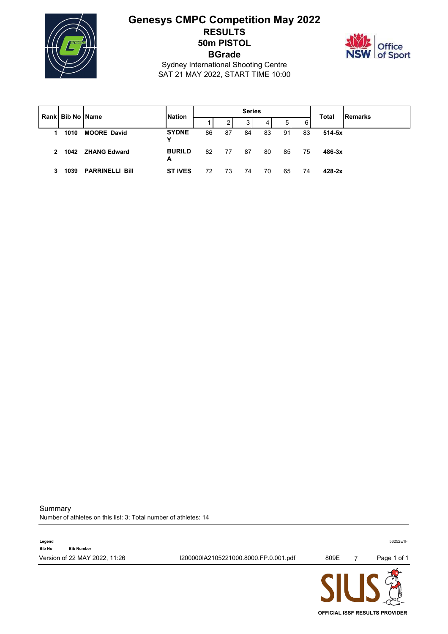

## **Genesys CMPC Competition May 2022 RESULTS 50m PISTOL BGrade**



Sydney International Shooting Centre SAT 21 MAY 2022, START TIME 10:00

|   | I Rankl Bib No IName | <b>Nation</b>          |                    |    | <b>Series</b> |    |    |    | <b>Total</b> | <b>Remarks</b> |  |
|---|----------------------|------------------------|--------------------|----|---------------|----|----|----|--------------|----------------|--|
|   |                      |                        |                    |    | 2             | 3  | 4  | 5  | 6            |                |  |
| 1 | 1010                 | <b>MOORE David</b>     | <b>SYDNE</b><br>Υ  | 86 | 87            | 84 | 83 | 91 | 83           | $514 - 5x$     |  |
| 2 | 1042                 | <b>ZHANG Edward</b>    | <b>BURILD</b><br>А | 82 | 77            | 87 | 80 | 85 | 75           | $486 - 3x$     |  |
| 3 | 1039                 | <b>PARRINELLI Bill</b> | <b>ST IVES</b>     | 72 | 73            | 74 | 70 | 65 | 74           | $428 - 2x$     |  |

Summary

Number of athletes on this list: 3; Total number of athletes: 14

|               |                               |                                       | <b>ALL LA</b> |             |
|---------------|-------------------------------|---------------------------------------|---------------|-------------|
|               | Version of 22 MAY 2022, 11:26 | I200000IA2105221000.8000.FP.0.001.pdf | 809E          | Page 1 of 1 |
| <b>Bib No</b> | <b>Bib Number</b>             |                                       |               |             |
| Legend        |                               |                                       |               | 56252E1F    |

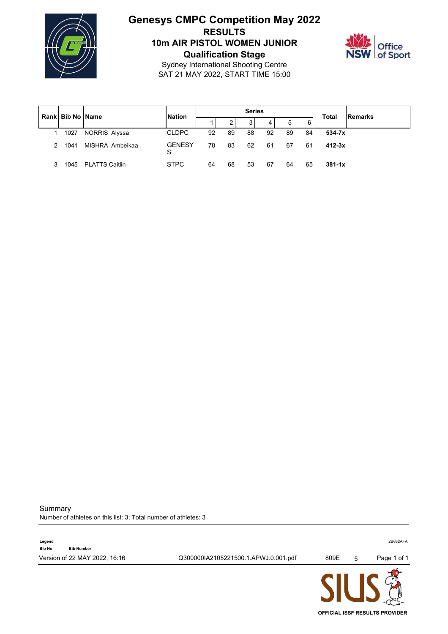

# **Genesys CMPC Competition May 2022 RESULTS 10m AIR PISTOL WOMEN JUNIOR Qualification Stage**



Sydney International Shooting Centre SAT 21 MAY 2022, START TIME 15:00

| <b>Bib No Name</b><br>Rankl |      |                       | <b>Nation</b>      |    |    | <b>Series</b> |    |    |    | Total      | Remarks |
|-----------------------------|------|-----------------------|--------------------|----|----|---------------|----|----|----|------------|---------|
|                             |      |                       |                    |    | 2  | 3             | 4  | 5  | 6  |            |         |
|                             | 1027 | NORRIS Alyssa         | <b>CLDPC</b>       | 92 | 89 | 88            | 92 | 89 | 84 | $534 - 7x$ |         |
| 2                           | 1041 | MISHRA Ambeikaa       | <b>GENESY</b><br>S | 78 | 83 | 62            | 61 | 67 | 61 | $412 - 3x$ |         |
| 3                           | 1045 | <b>PLATTS Caitlin</b> | <b>STPC</b>        | 64 | 68 | 53            | 67 | 64 | 65 | $381 - 1x$ |         |

**Summary** 

 $\overline{a}$ 

Number of athletes on this list: 3; Total number of athletes: 3

| Q300000IA2105221500.1.APWJ.0.001.pdf<br>Version of 22 MAY 2022, 16:16<br>809E<br>5 | Page 1 of 1 |
|------------------------------------------------------------------------------------|-------------|
|                                                                                    |             |
| Legend<br><b>Bib No</b><br><b>Bib Number</b>                                       | 2B682AFA    |
|                                                                                    |             |

JK **OFFICIAL ISSF RESULTS PROVIDER**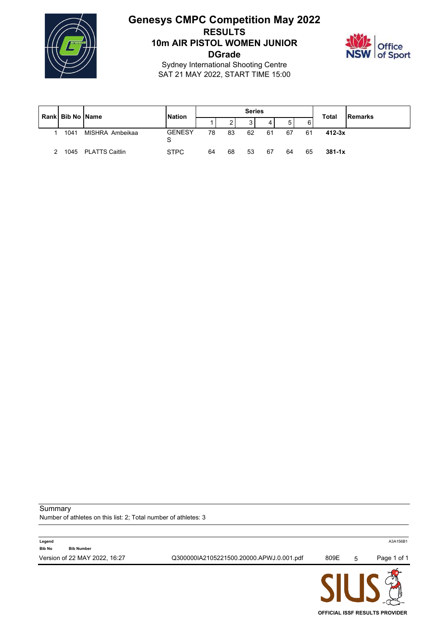

### **Genesys CMPC Competition May 2022 RESULTS 10m AIR PISTOL WOMEN JUNIOR DGrade**



Sydney International Shooting Centre SAT 21 MAY 2022, START TIME 15:00

| Rankl Bib No IName |      | <b>Nation</b>       |                    |        | <b>Series</b> |    |    |    | <b>Total</b> | Remarks    |  |
|--------------------|------|---------------------|--------------------|--------|---------------|----|----|----|--------------|------------|--|
|                    |      |                     |                    | ົ<br>ے | 2             | 4  | 5  | 6  |              |            |  |
|                    | 1041 | MISHRA Ambeikaa     | <b>GENESY</b><br>S | 78     | 83            | 62 | 61 | 67 | -61          | $412 - 3x$ |  |
|                    |      | 1045 PLATTS Caitlin | <b>STPC</b>        | 64     | 68            | 53 | 67 | 64 | 65           | $381 - 1x$ |  |

**Summary** 

Number of athletes on this list: 2; Total number of athletes: 3

| Version of 22 MAY 2022, 16:27<br>Q300000IA2105221500.20000.APWJ.0.001.pdf<br>809E | 5 |             |
|-----------------------------------------------------------------------------------|---|-------------|
|                                                                                   |   | Page 1 of 1 |
| <b>Bib No</b><br><b>Bib Number</b>                                                |   |             |
| Legend                                                                            |   | A3A156B1    |

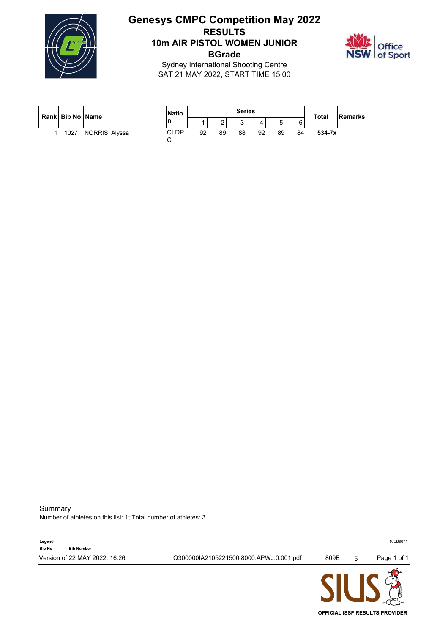

# **Genesys CMPC Competition May 2022 RESULTS 10m AIR PISTOL WOMEN JUNIOR BGrade**



Sydney International Shooting Centre SAT 21 MAY 2022, START TIME 15:00

| Rank Bib No Name |      |               | <b>Natio</b>          |    |    | <b>Series</b> |    |    |    | <b>Total</b> | Remarks |
|------------------|------|---------------|-----------------------|----|----|---------------|----|----|----|--------------|---------|
|                  |      |               | n                     |    | -  | ັ             |    |    | 6  |              |         |
|                  | 1027 | NORRIS Alyssa | <b>CLDP</b><br>⌒<br>ັ | 92 | 89 | 88            | 92 | 89 | 84 | 534-7x       |         |

**Summary** 

Number of athletes on this list: 1; Total number of athletes: 3

| Version of 22 MAY 2022, 16:26      | Q300000IA2105221500.8000.APWJ.0.001.pdf | 809E | 5 | Page 1 of 1 |
|------------------------------------|-----------------------------------------|------|---|-------------|
| <b>Bib No</b><br><b>Bib Number</b> |                                         |      |   |             |
| Legend                             |                                         |      |   | 10EB9671    |

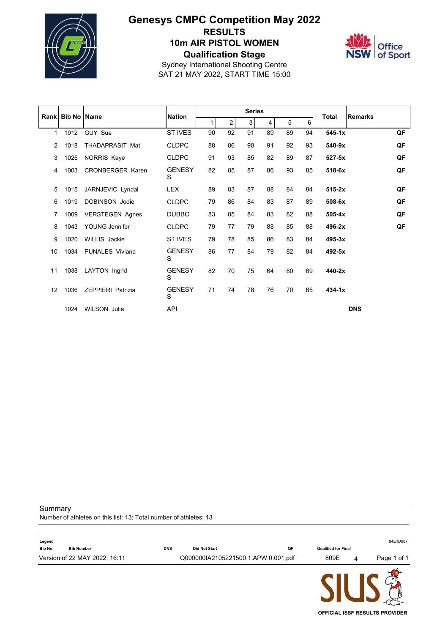

## **Genesys CMPC Competition May 2022 RESULTS 10m AIR PISTOL WOMEN Qualification Stage**



Sydney International Shooting Centre SAT 21 MAY 2022, START TIME 15:00

|                 |                  |                          |                    |    |    | <b>Series</b> |    |    |    |              |                |    |
|-----------------|------------------|--------------------------|--------------------|----|----|---------------|----|----|----|--------------|----------------|----|
|                 | Rank Bib No Name |                          | <b>Nation</b>      |    | 2  | 3             | 4  | 5  | 6  | <b>Total</b> | <b>Remarks</b> |    |
| $\mathbf 1$     | 1012             | GUY Sue                  | <b>ST IVES</b>     | 90 | 92 | 91            | 89 | 89 | 94 | $545 - 1x$   |                | QF |
| 2               | 1018             | <b>THADAPRASIT Mat</b>   | <b>CLDPC</b>       | 88 | 86 | 90            | 91 | 92 | 93 | 540-9x       |                | QF |
| 3               | 1025             | NORRIS Kaye              | <b>CLDPC</b>       | 91 | 93 | 85            | 82 | 89 | 87 | $527 - 5x$   |                | QF |
| 4               | 1003             | <b>CRONBERGER Karen</b>  | <b>GENESY</b><br>S | 82 | 85 | 87            | 86 | 93 | 85 | 518-6x       |                | QF |
| 5               | 1015             | JARNJEVIC Lyndal         | <b>LEX</b>         | 89 | 83 | 87            | 88 | 84 | 84 | $515-2x$     |                | QF |
| 6               | 1019             | <b>DOBINSON Jodie</b>    | <b>CLDPC</b>       | 79 | 86 | 84            | 83 | 87 | 89 | 508-6x       |                | QF |
| 7               | 1009             | <b>VERSTEGEN Agnes</b>   | <b>DUBBO</b>       | 83 | 85 | 84            | 83 | 82 | 88 | $505-4x$     |                | QF |
| 8               | 1043             | YOUNG Jennifer           | <b>CLDPC</b>       | 79 | 77 | 79            | 88 | 85 | 88 | 496-2x       |                | QF |
| 9               | 1020             | <b>WILLIS</b> Jackie     | <b>ST IVES</b>     | 79 | 78 | 85            | 86 | 83 | 84 | 495-3x       |                |    |
| 10 <sup>1</sup> | 1034             | <b>PUNALES Viviana</b>   | <b>GENESY</b><br>S | 86 | 77 | 84            | 79 | 82 | 84 | 492-5x       |                |    |
| 11              | 1038             | LAYTON Ingrid            | <b>GENESY</b><br>S | 82 | 70 | 75            | 64 | 80 | 69 | 440-2x       |                |    |
| 12              | 1036             | <b>ZEPPIERI Patrizia</b> | <b>GENESY</b><br>S | 71 | 74 | 78            | 76 | 70 | 65 | $434-1x$     |                |    |
|                 | 1024             | <b>WILSON Julie</b>      | <b>API</b>         |    |    |               |    |    |    |              | <b>DNS</b>     |    |

**Summary** 

Number of athletes on this list: 13; Total number of athletes: 13

|               |                                                    |            | Q000000IA2105221500.1.APW.0.001.pdf |    | CII IC                             | 4 | Page 1 of 1 |
|---------------|----------------------------------------------------|------------|-------------------------------------|----|------------------------------------|---|-------------|
| <b>Bib No</b> | <b>Bib Number</b><br>Version of 22 MAY 2022, 16:11 | <b>DNS</b> | <b>Did Not Start</b>                | QF | <b>Qualified for Final</b><br>809E |   |             |
| Legend        |                                                    |            |                                     |    |                                    |   | 94E1D087    |

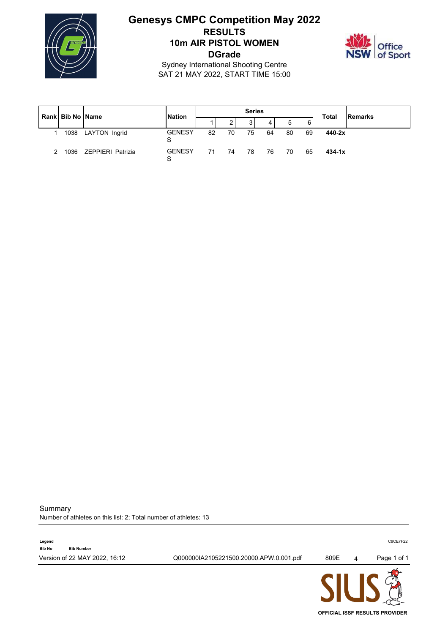

# **Genesys CMPC Competition May 2022 RESULTS 10m AIR PISTOL WOMEN DGrade**



Sydney International Shooting Centre SAT 21 MAY 2022, START TIME 15:00

|  | <b>Rankl Bib No IName</b> |                   | <b>Nation</b>      |    |    | <b>Series</b> |    |    |    | <b>Total</b> | Remarks |
|--|---------------------------|-------------------|--------------------|----|----|---------------|----|----|----|--------------|---------|
|  |                           |                   |                    |    | 3  | 4             | 5  | 6  |    |              |         |
|  | 1038                      | LAYTON Ingrid     | <b>GENESY</b><br>S | 82 | 70 | 75            | 64 | 80 | 69 | 440-2x       |         |
|  | 1036                      | ZEPPIERI Patrizia | <b>GENESY</b><br>S | 71 | 74 | 78            | 76 | 70 | 65 | $434 - 1x$   |         |

Summary

Number of athletes on this list: 2; Total number of athletes: 13



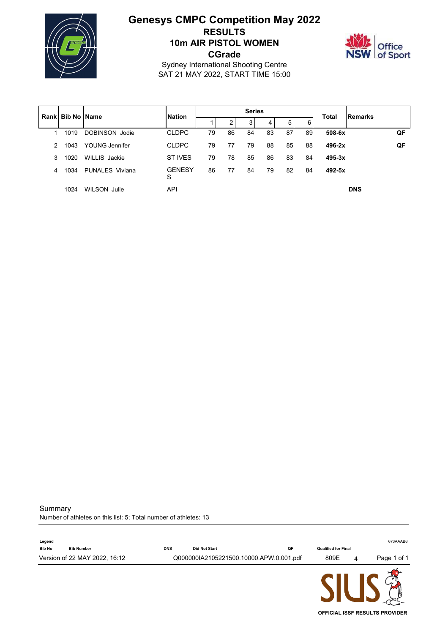

# **Genesys CMPC Competition May 2022 RESULTS 10m AIR PISTOL WOMEN CGrade**



Sydney International Shooting Centre SAT 21 MAY 2022, START TIME 15:00

|               | <b>Rankl Bib No IName</b> |                        | <b>Nation</b>      |    |    | <b>Series</b> |    |    |    | <b>Total</b> | Remarks    |    |
|---------------|---------------------------|------------------------|--------------------|----|----|---------------|----|----|----|--------------|------------|----|
|               |                           |                        |                    |    | 2  | 3             | 4  | 5  | 6  |              |            |    |
| 1             | 1019                      | DOBINSON Jodie         | <b>CLDPC</b>       | 79 | 86 | 84            | 83 | 87 | 89 | $508 - 6x$   |            | QF |
| $\mathcal{P}$ | 1043                      | YOUNG Jennifer         | <b>CLDPC</b>       | 79 | 77 | 79            | 88 | 85 | 88 | $496 - 2x$   |            | QF |
| 3             | 1020                      | WILLIS Jackie          | ST IVES            | 79 | 78 | 85            | 86 | 83 | 84 | $495 - 3x$   |            |    |
| 4             | 1034                      | <b>PUNALES Viviana</b> | <b>GENESY</b><br>S | 86 | 77 | 84            | 79 | 82 | 84 | $492 - 5x$   |            |    |
|               | 1024                      | WILSON Julie           | API                |    |    |               |    |    |    |              | <b>DNS</b> |    |

Summary

Number of athletes on this list: 5; Total number of athletes: 13

| Legend                             |            |                                         |    |                            |   | 673AAAB6    |
|------------------------------------|------------|-----------------------------------------|----|----------------------------|---|-------------|
| <b>Bib No</b><br><b>Bib Number</b> | <b>DNS</b> | <b>Did Not Start</b>                    | QF | <b>Qualified for Final</b> |   |             |
| Version of 22 MAY 2022, 16:12      |            | Q000000IA2105221500.10000.APW.0.001.pdf |    | 809E                       | 4 | Page 1 of 1 |
|                                    |            |                                         |    | <b>AIL LA</b>              |   |             |

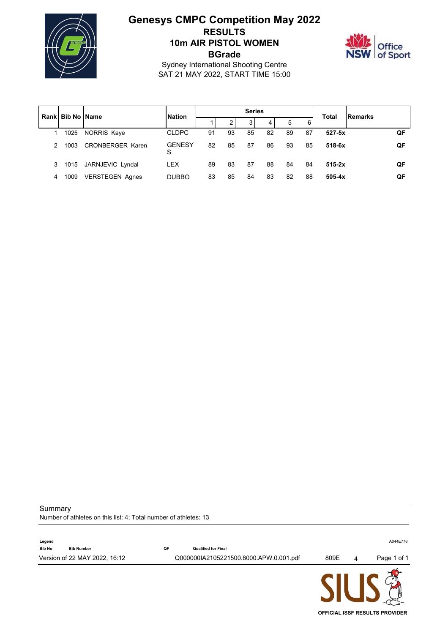

# **Genesys CMPC Competition May 2022 RESULTS 10m AIR PISTOL WOMEN BGrade**



**OFFICIAL ISSF RESULTS PROVIDER**

Sydney International Shooting Centre SAT 21 MAY 2022, START TIME 15:00

| Rankl | <b>Bib No IName</b> |                         | <b>Nation</b>      |    |    | <b>Series</b> |    |    |    | <b>Total</b> | <b>IRemarks</b> |
|-------|---------------------|-------------------------|--------------------|----|----|---------------|----|----|----|--------------|-----------------|
|       |                     |                         |                    |    | ◠  | 3             | 4  | 5  | 6  |              |                 |
|       | 1025                | NORRIS Kaye             | <b>CLDPC</b>       | 91 | 93 | 85            | 82 | 89 | 87 | $527 - 5x$   | QF              |
| 2     | 1003                | <b>CRONBERGER Karen</b> | <b>GENESY</b><br>S | 82 | 85 | 87            | 86 | 93 | 85 | $518 - 6x$   | QF              |
| 3     | 1015                | JARNJEVIC Lyndal        | <b>LEX</b>         | 89 | 83 | 87            | 88 | 84 | 84 | $515-2x$     | QF              |
| 4     | 1009                | <b>VERSTEGEN Agnes</b>  | <b>DUBBO</b>       | 83 | 85 | 84            | 83 | 82 | 88 | $505 - 4x$   | QF              |

Summary

Number of athletes on this list: 4; Total number of athletes: 13

| Legend                             |    |                                        |      |   | A044E776    |
|------------------------------------|----|----------------------------------------|------|---|-------------|
| <b>Bib No</b><br><b>Bib Number</b> | QF | <b>Qualified for Final</b>             |      |   |             |
| Version of 22 MAY 2022, 16:12      |    | Q000000IA2105221500.8000.APW.0.001.pdf | 809E | 4 | Page 1 of 1 |
|                                    |    |                                        |      |   |             |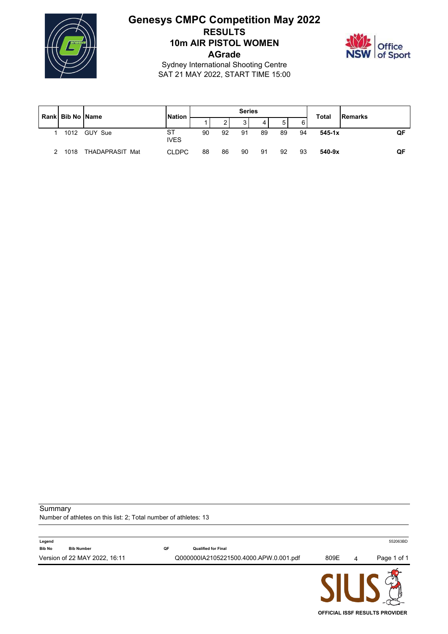

# **Genesys CMPC Competition May 2022 RESULTS 10m AIR PISTOL WOMEN AGrade**



Sydney International Shooting Centre SAT 21 MAY 2022, START TIME 15:00

| Rank Bib No Name |                 | <b>Nation</b>     |    |    | <b>Series</b>  |    |    |    | <b>Total</b> | Remarks |    |
|------------------|-----------------|-------------------|----|----|----------------|----|----|----|--------------|---------|----|
|                  |                 |                   |    | ◠  | 3 <sub>1</sub> | 4  | 5  | 61 |              |         |    |
| 1012             | GUY Sue         | ST<br><b>IVES</b> | 90 | 92 | 91             | 89 | 89 | 94 | $545 - 1x$   |         | QF |
| 1018             | THADAPRASIT Mat | <b>CLDPC</b>      | 88 | 86 | 90             | 91 | 92 | 93 | $540 - 9x$   |         | QF |

Summary

Number of athletes on this list: 2; Total number of athletes: 13

|                         | Version of 22 MAY 2022, 16:11 |    | Q000000IA2105221500.4000.APW.0.001.pdf | 809E | 4 | Page 1 of 1 |
|-------------------------|-------------------------------|----|----------------------------------------|------|---|-------------|
| Legend<br><b>Bib No</b> | <b>Bib Number</b>             | QF | <b>Qualified for Final</b>             |      |   | 552063BD    |

JIUJ & **OFFICIAL ISSF RESULTS PROVIDER**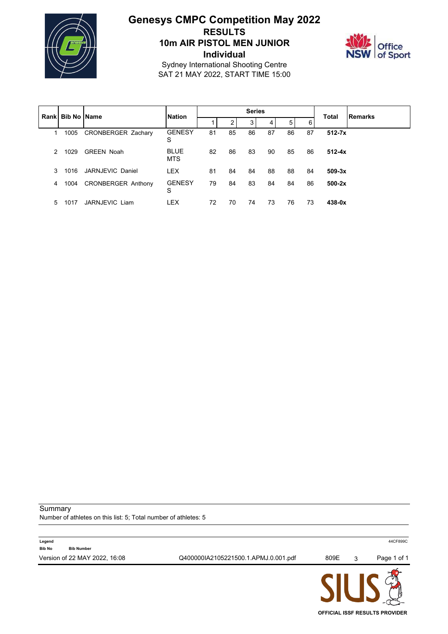

# **Genesys CMPC Competition May 2022 RESULTS 10m AIR PISTOL MEN JUNIOR Individual**



Sydney International Shooting Centre SAT 21 MAY 2022, START TIME 15:00

|   |                           |                           |                           |    |    | <b>Series</b> |    |    |    | <b>Total</b> |                |
|---|---------------------------|---------------------------|---------------------------|----|----|---------------|----|----|----|--------------|----------------|
|   | <b>Rankl Bib No IName</b> |                           | <b>Nation</b>             |    | 2  | 3             | 4  | 5  | 6  |              | <b>Remarks</b> |
|   | 1005                      | <b>CRONBERGER Zachary</b> | <b>GENESY</b><br>S        | 81 | 85 | 86            | 87 | 86 | 87 | $512 - 7x$   |                |
| 2 | 1029                      | <b>GREEN Noah</b>         | <b>BLUE</b><br><b>MTS</b> | 82 | 86 | 83            | 90 | 85 | 86 | $512 - 4x$   |                |
| 3 | 1016                      | JARNJEVIC Daniel          | <b>LEX</b>                | 81 | 84 | 84            | 88 | 88 | 84 | $509-3x$     |                |
| 4 | 1004                      | <b>CRONBERGER Anthony</b> | <b>GENESY</b><br>S        | 79 | 84 | 83            | 84 | 84 | 86 | $500-2x$     |                |
| 5 | 1017                      | JARNJEVIC Liam            | <b>LEX</b>                | 72 | 70 | 74            | 73 | 76 | 73 | $438 - 0x$   |                |

Summary

Number of athletes on this list: 5; Total number of athletes: 5



**OFFICIAL ISSF RESULTS PROVIDER**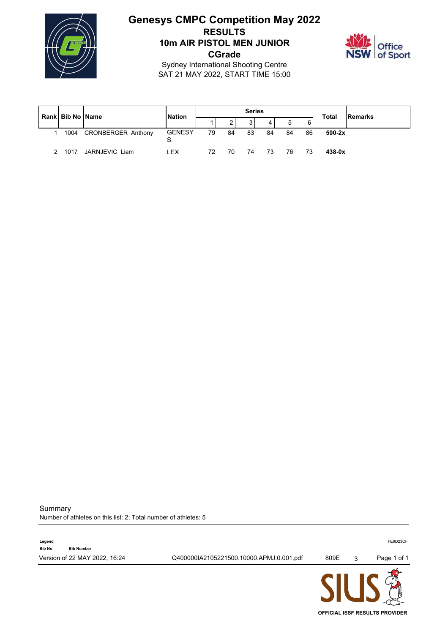

### **Genesys CMPC Competition May 2022 RESULTS 10m AIR PISTOL MEN JUNIOR CGrade**



Sydney International Shooting Centre SAT 21 MAY 2022, START TIME 15:00

| Rank Bib No Name |                           | <b>Nation</b>      |    |    | <b>Series</b> |    |                |    | <b>Total</b> | <b>Remarks</b> |
|------------------|---------------------------|--------------------|----|----|---------------|----|----------------|----|--------------|----------------|
|                  |                           |                    |    |    |               | 4  | 5 <sub>1</sub> | 6  |              |                |
| 1004             | <b>CRONBERGER Anthony</b> | <b>GENESY</b><br>S | 79 | 84 | 83            | 84 | 84             | 86 | $500-2x$     |                |
| 1017             | JARNJEVIC Liam            | I FX               | 72 | 70 | 74            | 73 | 76             |    | $438 - 0x$   |                |

Summary

Number of athletes on this list: 2; Total number of athletes: 5



**OFFICIAL ISSF RESULTS PROVIDER**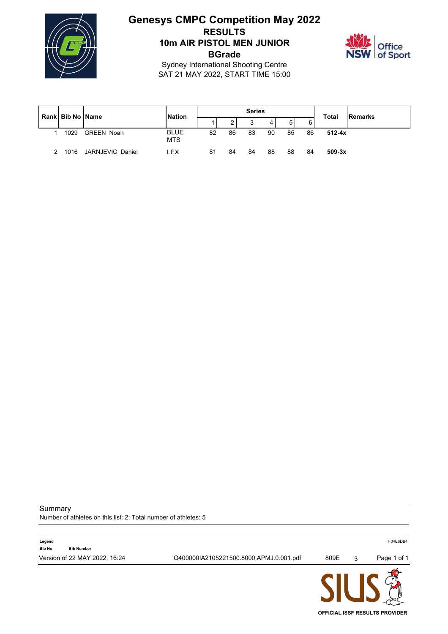

# **Genesys CMPC Competition May 2022 RESULTS 10m AIR PISTOL MEN JUNIOR BGrade**



Sydney International Shooting Centre SAT 21 MAY 2022, START TIME 15:00

| Rank Bib No Name | <b>Nation</b>     |                           |    | <b>Series</b> |                   |    |    | <b>Total</b> | <b>IRemarks</b> |  |
|------------------|-------------------|---------------------------|----|---------------|-------------------|----|----|--------------|-----------------|--|
|                  |                   |                           |    | 2             | $\mathbf{a}$<br>ບ | 4  |    | 6            |                 |  |
| 1029             | <b>GREEN Noah</b> | <b>BLUE</b><br><b>MTS</b> | 82 | 86            | 83                | 90 | 85 | 86           | $512 - 4x$      |  |
| 1016             | JARNJEVIC Daniel  | LEX                       | 81 | 84            | 84                | 88 | 88 | 84           | $509-3x$        |  |

Summary

Number of athletes on this list: 2; Total number of athletes: 5



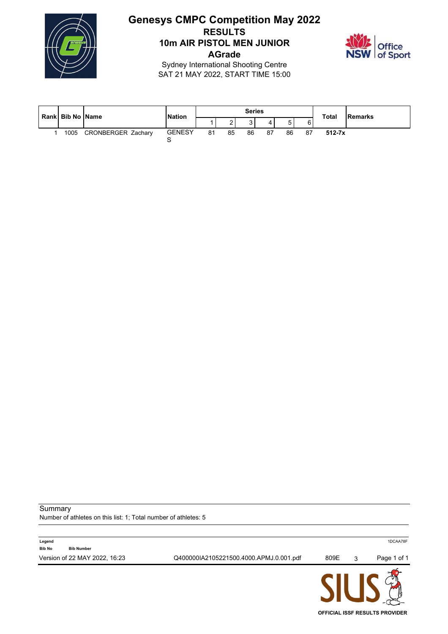

## **Genesys CMPC Competition May 2022 RESULTS 10m AIR PISTOL MEN JUNIOR AGrade**



Sydney International Shooting Centre SAT 21 MAY 2022, START TIME 15:00

| Rank Bib No Name |                           |                    | <b>Series</b><br><b>Nation</b> |    |    |     |        |     | <b>Total</b> | Remarks |
|------------------|---------------------------|--------------------|--------------------------------|----|----|-----|--------|-----|--------------|---------|
|                  |                           |                    |                                |    |    |     | -<br>ັ | 6   |              |         |
| 1005             | <b>CRONBERGER Zachary</b> | <b>GENESY</b><br>ັ | 81                             | 85 | 86 | -87 | 86     | -87 | $512 - 7x$   |         |

**Summary** 

Number of athletes on this list: 1; Total number of athletes: 5

|                         |                               |                                         | AII IA |   |             |
|-------------------------|-------------------------------|-----------------------------------------|--------|---|-------------|
|                         | Version of 22 MAY 2022, 16:23 | Q400000IA2105221500.4000.APMJ.0.001.pdf | 809E   | 3 | Page 1 of 1 |
| Legend<br><b>Bib No</b> | <b>Bib Number</b>             |                                         |        |   | 1DCAA78F    |
|                         |                               |                                         |        |   |             |

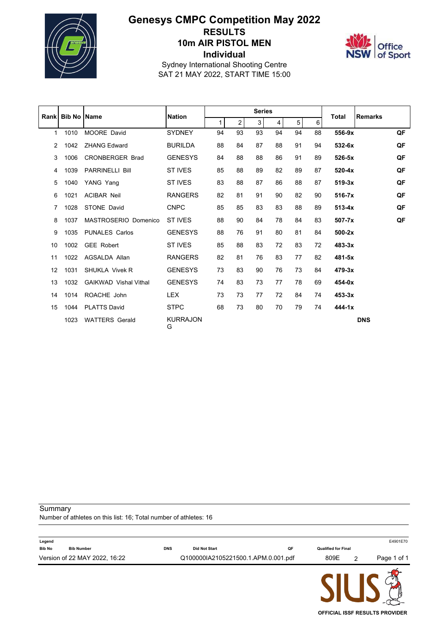

# **Genesys CMPC Competition May 2022 RESULTS 10m AIR PISTOL MEN Individual**



Sydney International Shooting Centre SAT 21 MAY 2022, START TIME 15:00

|    | <b>Rankl Bib No Name</b> |                              | <b>Nation</b>        |              |                | <b>Series</b> |    |    |    | <b>Total</b> | <b>Remarks</b> |    |
|----|--------------------------|------------------------------|----------------------|--------------|----------------|---------------|----|----|----|--------------|----------------|----|
|    |                          |                              |                      | $\mathbf{1}$ | $\overline{2}$ | 3             | 4  | 5  | 6  |              |                |    |
| 1  | 1010                     | <b>MOORE David</b>           | <b>SYDNEY</b>        | 94           | 93             | 93            | 94 | 94 | 88 | 556-9x       |                | QF |
| 2  | 1042                     | <b>ZHANG Edward</b>          | <b>BURILDA</b>       | 88           | 84             | 87            | 88 | 91 | 94 | 532-6x       |                | QF |
| 3  | 1006                     | <b>CRONBERGER Brad</b>       | <b>GENESYS</b>       | 84           | 88             | 88            | 86 | 91 | 89 | 526-5x       |                | QF |
| 4  | 1039                     | <b>PARRINELLI Bill</b>       | <b>ST IVES</b>       | 85           | 88             | 89            | 82 | 89 | 87 | $520 - 4x$   |                | QF |
| 5  | 1040                     | YANG Yang                    | ST IVES              | 83           | 88             | 87            | 86 | 88 | 87 | $519-3x$     |                | QF |
| 6  | 1021                     | <b>ACIBAR Neil</b>           | <b>RANGERS</b>       | 82           | 81             | 91            | 90 | 82 | 90 | $516-7x$     |                | QF |
| 7  | 1028                     | <b>STONE David</b>           | <b>CNPC</b>          | 85           | 85             | 83            | 83 | 88 | 89 | $513 - 4x$   |                | QF |
| 8  | 1037                     | MASTROSERIO Domenico         | ST IVES              | 88           | 90             | 84            | 78 | 84 | 83 | $507 - 7x$   |                | QF |
| 9  | 1035                     | <b>PUNALES Carlos</b>        | <b>GENESYS</b>       | 88           | 76             | 91            | 80 | 81 | 84 | $500-2x$     |                |    |
| 10 | 1002                     | <b>GEE Robert</b>            | <b>ST IVES</b>       | 85           | 88             | 83            | 72 | 83 | 72 | $483-3x$     |                |    |
| 11 | 1022                     | AGSALDA Allan                | <b>RANGERS</b>       | 82           | 81             | 76            | 83 | 77 | 82 | 481-5x       |                |    |
| 12 | 1031                     | <b>SHUKLA Vivek R</b>        | <b>GENESYS</b>       | 73           | 83             | 90            | 76 | 73 | 84 | $479 - 3x$   |                |    |
| 13 | 1032                     | <b>GAIKWAD</b> Vishal Vithal | <b>GENESYS</b>       | 74           | 83             | 73            | 77 | 78 | 69 | 454-0x       |                |    |
| 14 | 1014                     | ROACHE John                  | <b>LEX</b>           | 73           | 73             | 77            | 72 | 84 | 74 | $453 - 3x$   |                |    |
| 15 | 1044                     | <b>PLATTS David</b>          | <b>STPC</b>          | 68           | 73             | 80            | 70 | 79 | 74 | $444 - 1x$   |                |    |
|    | 1023                     | <b>WATTERS Gerald</b>        | <b>KURRAJON</b><br>G |              |                |               |    |    |    |              | <b>DNS</b>     |    |

Summary

Number of athletes on this list: 16; Total number of athletes: 16

|               |                               |            |                                     |    | AII IA                     |             |
|---------------|-------------------------------|------------|-------------------------------------|----|----------------------------|-------------|
|               | Version of 22 MAY 2022, 16:22 |            | Q100000IA2105221500.1.APM.0.001.pdf |    | 809E                       | Page 1 of 1 |
| <b>Bib No</b> | <b>Bib Number</b>             | <b>DNS</b> | <b>Did Not Start</b>                | QF | <b>Qualified for Final</b> |             |
| Legend        |                               |            |                                     |    |                            | E4901E70    |

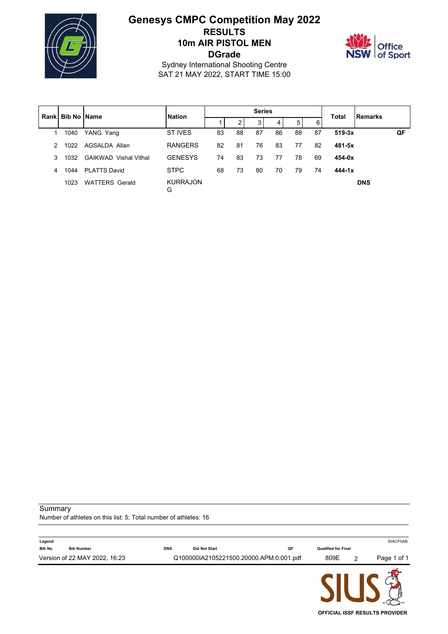

# **Genesys CMPC Competition May 2022 RESULTS 10m AIR PISTOL MEN DGrade**



Sydney International Shooting Centre SAT 21 MAY 2022, START TIME 15:00

|               | Rank   Bib No   Name |                              | <b>Nation</b>        |    |    | <b>Series</b> |    | <b>Total</b> |    |            |            |    |
|---------------|----------------------|------------------------------|----------------------|----|----|---------------|----|--------------|----|------------|------------|----|
|               |                      |                              |                      |    | 2  | 3             | 4  | 5            | 6  |            | Remarks    |    |
|               | 1040                 | YANG Yang                    | ST IVES              | 83 | 88 | 87            | 86 | 88           | 87 | $519-3x$   |            | QF |
| $\mathcal{P}$ | 1022                 | AGSALDA Allan                | <b>RANGERS</b>       | 82 | 81 | 76            | 83 | 77           | 82 | 481-5x     |            |    |
| 3             | 1032                 | <b>GAIKWAD</b> Vishal Vithal | <b>GENESYS</b>       | 74 | 83 | 73            | 77 | 78           | 69 | 454-0x     |            |    |
| 4             | 1044                 | <b>PI ATTS David</b>         | <b>STPC</b>          | 68 | 73 | 80            | 70 | 79           | 74 | $444 - 1x$ |            |    |
|               | 1023                 | <b>WATTERS Gerald</b>        | <b>KURRAJON</b><br>G |    |    |               |    |              |    |            | <b>DNS</b> |    |

Summary

Number of athletes on this list: 5; Total number of athletes: 16

| Legend                             |            |                                         |    |                            | 50ACF0AB    |
|------------------------------------|------------|-----------------------------------------|----|----------------------------|-------------|
| <b>Bib No</b><br><b>Bib Number</b> | <b>DNS</b> | <b>Did Not Start</b>                    | QF | <b>Qualified for Final</b> |             |
| Version of 22 MAY 2022, 16:23      |            | Q100000IA2105221500.20000.APM.0.001.pdf |    | 809E                       | Page 1 of 1 |
|                                    |            |                                         |    | AII IA                     |             |